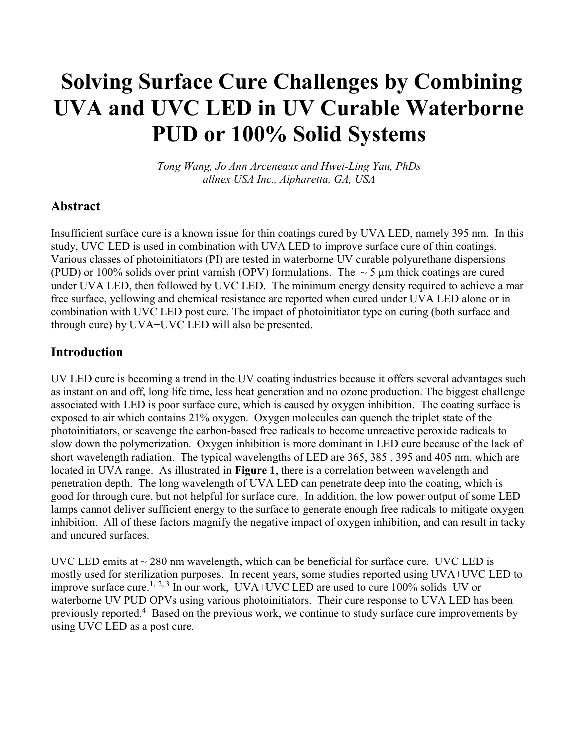# Solving Surface Cure Challenges by Combining UVA and UVC LED in UV Curable Waterborne PUD or 100% Solid Systems

Tong Wang, Jo Ann Arceneaux and Hwei-Ling Yau, PhDs allnex USA Inc., Alpharetta, GA, USA

## Abstract

Insufficient surface cure is a known issue for thin coatings cured by UVA LED, namely 395 nm. In this study, UVC LED is used in combination with UVA LED to improve surface cure of thin coatings. Various classes of photoinitiators (PI) are tested in waterborne UV curable polyurethane dispersions (PUD) or 100% solids over print varnish (OPV) formulations. The  $\sim$  5 µm thick coatings are cured under UVA LED, then followed by UVC LED. The minimum energy density required to achieve a mar free surface, yellowing and chemical resistance are reported when cured under UVA LED alone or in combination with UVC LED post cure. The impact of photoinitiator type on curing (both surface and through cure) by UVA+UVC LED will also be presented.

## Introduction

UV LED cure is becoming a trend in the UV coating industries because it offers several advantages such as instant on and off, long life time, less heat generation and no ozone production. The biggest challenge associated with LED is poor surface cure, which is caused by oxygen inhibition. The coating surface is exposed to air which contains 21% oxygen. Oxygen molecules can quench the triplet state of the photoinitiators, or scavenge the carbon-based free radicals to become unreactive peroxide radicals to slow down the polymerization. Oxygen inhibition is more dominant in LED cure because of the lack of short wavelength radiation. The typical wavelengths of LED are 365, 385 , 395 and 405 nm, which are located in UVA range. As illustrated in Figure 1, there is a correlation between wavelength and penetration depth. The long wavelength of UVA LED can penetrate deep into the coating, which is good for through cure, but not helpful for surface cure. In addition, the low power output of some LED lamps cannot deliver sufficient energy to the surface to generate enough free radicals to mitigate oxygen inhibition. All of these factors magnify the negative impact of oxygen inhibition, and can result in tacky and uncured surfaces.

UVC LED emits at  $\sim$  280 nm wavelength, which can be beneficial for surface cure. UVC LED is mostly used for sterilization purposes. In recent years, some studies reported using UVA+UVC LED to improve surface cure.<sup>1, 2, 3</sup> In our work, UVA+UVC LED are used to cure 100% solids UV or waterborne UV PUD OPVs using various photoinitiators. Their cure response to UVA LED has been previously reported.<sup>4</sup> Based on the previous work, we continue to study surface cure improvements by using UVC LED as a post cure.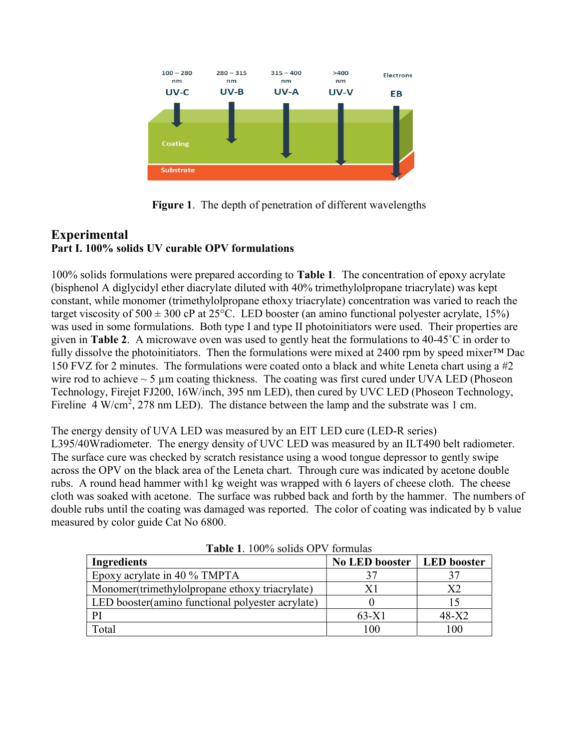

Figure 1. The depth of penetration of different wavelengths

## Experimental Part I. 100% solids UV curable OPV formulations

100% solids formulations were prepared according to Table 1. The concentration of epoxy acrylate (bisphenol A diglycidyl ether diacrylate diluted with 40% trimethylolpropane triacrylate) was kept constant, while monomer (trimethylolpropane ethoxy triacrylate) concentration was varied to reach the target viscosity of  $500 \pm 300$  cP at  $25^{\circ}$ C. LED booster (an amino functional polyester acrylate, 15%) was used in some formulations. Both type I and type II photoinitiators were used. Their properties are given in Table 2. A microwave oven was used to gently heat the formulations to 40-45˚C in order to fully dissolve the photoinitiators. Then the formulations were mixed at 2400 rpm by speed mixer™ Dac 150 FVZ for 2 minutes. The formulations were coated onto a black and white Leneta chart using a #2 wire rod to achieve  $\sim$  5  $\mu$ m coating thickness. The coating was first cured under UVA LED (Phoseon Technology, Firejet FJ200, 16W/inch, 395 nm LED), then cured by UVC LED (Phoseon Technology, Fireline  $4 W/cm^2$ , 278 nm LED). The distance between the lamp and the substrate was 1 cm.

The energy density of UVA LED was measured by an EIT LED cure (LED-R series) L395/40Wradiometer. The energy density of UVC LED was measured by an ILT490 belt radiometer. The surface cure was checked by scratch resistance using a wood tongue depressor to gently swipe across the OPV on the black area of the Leneta chart. Through cure was indicated by acetone double rubs. A round head hammer with1 kg weight was wrapped with 6 layers of cheese cloth. The cheese cloth was soaked with acetone. The surface was rubbed back and forth by the hammer. The numbers of double rubs until the coating was damaged was reported. The color of coating was indicated by b value measured by color guide Cat No 6800.

| <b>1 ADIV 1.</b> 10070 SONGS OF YEAR 1408         |                              |         |  |  |  |
|---------------------------------------------------|------------------------------|---------|--|--|--|
| Ingredients                                       | No LED booster   LED booster |         |  |  |  |
| Epoxy acrylate in 40 % TMPTA                      |                              |         |  |  |  |
| Monomer(trimethylolpropane ethoxy triacrylate)    | Χ1                           | X2      |  |  |  |
| LED booster (amino functional polyester acrylate) |                              |         |  |  |  |
| PI                                                | $63-X1$                      | $48-X2$ |  |  |  |
| Total                                             | 100                          | 100     |  |  |  |

Table 1. 100% solids OPV formulas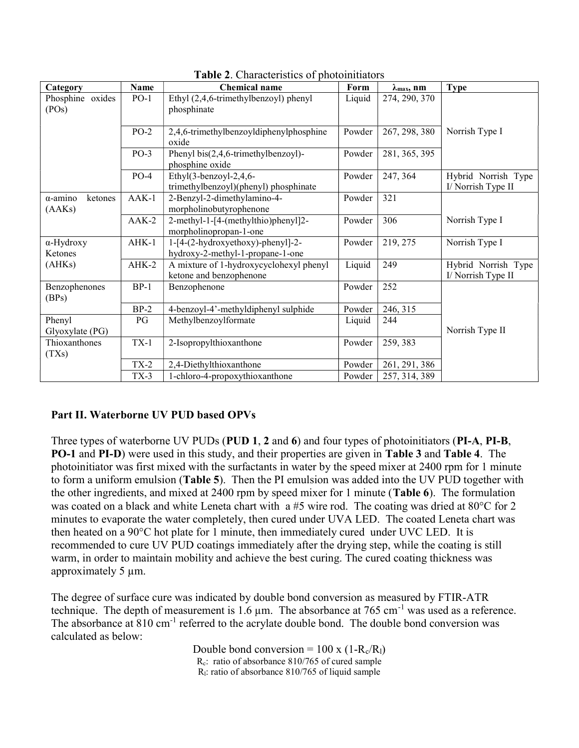| Category                             | Name                                                           | <b>Chemical name</b>                                                  | Form   | $\lambda_{\text{max}}$ , nm | <b>Type</b>                               |
|--------------------------------------|----------------------------------------------------------------|-----------------------------------------------------------------------|--------|-----------------------------|-------------------------------------------|
| Phosphine oxides<br>(POS)            | $PO-1$<br>Ethyl (2,4,6-trimethylbenzoyl) phenyl<br>phosphinate |                                                                       | Liquid | 274, 290, 370               |                                           |
|                                      | $PO-2$                                                         | 2,4,6-trimethylbenzoyldiphenylphosphine<br>oxide                      | Powder | 267, 298, 380               | Norrish Type I                            |
|                                      | $PO-3$                                                         | Phenyl bis $(2,4,6$ -trimethylbenzoyl)-<br>phosphine oxide            | Powder | 281, 365, 395               |                                           |
|                                      | $PO-4$                                                         | Ethyl(3-benzoyl-2,4,6-<br>trimethylbenzoyl)(phenyl) phosphinate       | Powder | 247, 364                    | Hybrid Norrish Type<br>I/ Norrish Type II |
| $\alpha$ -amino<br>ketones<br>(AAKs) | $AAK-1$                                                        | 2-Benzyl-2-dimethylamino-4-<br>morpholinobutyrophenone                | Powder | 321                         |                                           |
|                                      | $AAK-2$                                                        | 2-methyl-1-[4-(methylthio)phenyl]2-<br>morpholinopropan-1-one         | Powder | 306                         | Norrish Type I                            |
| $\alpha$ -Hydroxy<br>Ketones         | $AHK-1$                                                        | 1-[4-(2-hydroxyethoxy)-phenyl]-2-<br>hydroxy-2-methyl-1-propane-1-one | Powder | 219, 275                    | Norrish Type I                            |
| (AHKs)                               | $AHK-2$                                                        | A mixture of 1-hydroxycyclohexyl phenyl<br>ketone and benzophenone    | Liquid | 249                         | Hybrid Norrish Type<br>I/ Norrish Type II |
| Benzophenones<br>(BPs)               | $BP-1$                                                         | Benzophenone                                                          | Powder | 252                         |                                           |
|                                      | $BP-2$                                                         | 4-benzoyl-4'-methyldiphenyl sulphide                                  | Powder | 246, 315                    |                                           |
| Phenyl<br>Glyoxylate (PG)            | PG                                                             | Methylbenzoylformate                                                  | Liquid | 244                         | Norrish Type II                           |
| Thioxanthones<br>(TXs)               | $TX-1$                                                         | 2-Isopropylthioxanthone                                               | Powder | 259, 383                    |                                           |
|                                      | $TX-2$                                                         | 2,4-Diethylthioxanthone                                               | Powder | 261, 291, 386               |                                           |
|                                      | $TX-3$                                                         | 1-chloro-4-propoxythioxanthone                                        | Powder | 257, 314, 389               |                                           |

Table 2. Characteristics of photoinitiators

#### Part II. Waterborne UV PUD based OPVs

Three types of waterborne UV PUDs (PUD 1, 2 and 6) and four types of photoinitiators (PI-A, PI-B, PO-1 and PI-D) were used in this study, and their properties are given in Table 3 and Table 4. The photoinitiator was first mixed with the surfactants in water by the speed mixer at 2400 rpm for 1 minute to form a uniform emulsion (Table 5). Then the PI emulsion was added into the UV PUD together with the other ingredients, and mixed at 2400 rpm by speed mixer for 1 minute (Table 6). The formulation was coated on a black and white Leneta chart with a #5 wire rod. The coating was dried at 80°C for 2 minutes to evaporate the water completely, then cured under UVA LED. The coated Leneta chart was then heated on a 90°C hot plate for 1 minute, then immediately cured under UVC LED. It is recommended to cure UV PUD coatings immediately after the drying step, while the coating is still warm, in order to maintain mobility and achieve the best curing. The cured coating thickness was approximately 5 µm.

The degree of surface cure was indicated by double bond conversion as measured by FTIR-ATR technique. The depth of measurement is 1.6  $\mu$ m. The absorbance at 765 cm<sup>-1</sup> was used as a reference. The absorbance at 810 cm<sup>-1</sup> referred to the acrylate double bond. The double bond conversion was calculated as below:

Double bond conversion =  $100 \times (1-R_c/R_l)$ Rc: ratio of absorbance 810/765 of cured sample  $R<sub>l</sub>$ : ratio of absorbance 810/765 of liquid sample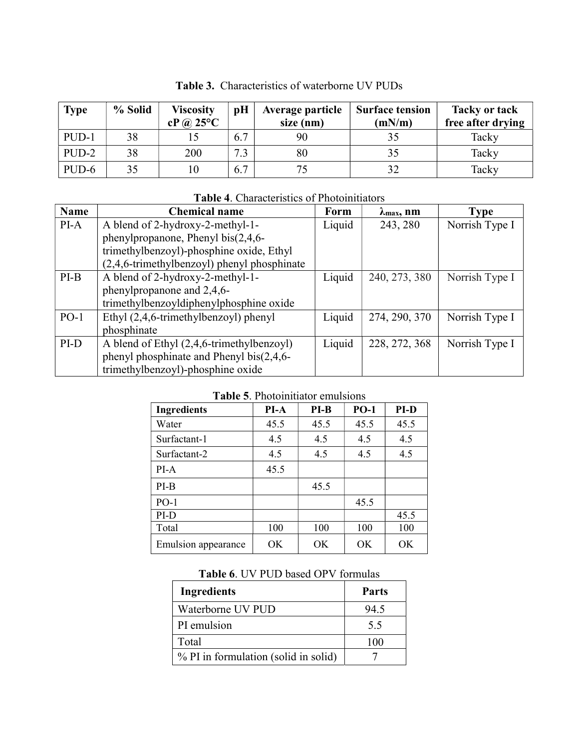| <b>Type</b> | % Solid | <b>Viscosity</b><br>$cP$ (a) 25°C | pH           | <b>Average particle</b><br>size (nm) | <b>Surface tension</b><br>(mN/m) | <b>Tacky or tack</b><br>free after drying |
|-------------|---------|-----------------------------------|--------------|--------------------------------------|----------------------------------|-------------------------------------------|
| PUD-1       | 38      |                                   | 6.7          | 90                                   | 35                               | Tacky                                     |
| PUD-2       | 38      | 200                               | $\mathbf{r}$ | 80                                   | 35                               | Tacky                                     |
| $PUD-6$     | 35      | 10                                | 6.7          | 75                                   | 32                               | Tacky                                     |

Table 3. Characteristics of waterborne UV PUDs

#### Table 4. Characteristics of Photoinitiators

| <b>Name</b> | <b>Chemical name</b>                        | Form   | $\lambda$ max, nm | <b>Type</b>    |
|-------------|---------------------------------------------|--------|-------------------|----------------|
| PI-A        | A blend of 2-hydroxy-2-methyl-1-            | Liquid | 243, 280          | Norrish Type I |
|             | phenylpropanone, Phenyl bis $(2, 4, 6$ -    |        |                   |                |
|             | trimethylbenzoyl)-phosphine oxide, Ethyl    |        |                   |                |
|             | (2,4,6-trimethylbenzoyl) phenyl phosphinate |        |                   |                |
| $PI-B$      | A blend of 2-hydroxy-2-methyl-1-            | Liquid | 240, 273, 380     | Norrish Type I |
|             | phenylpropanone and 2,4,6-                  |        |                   |                |
|             | trimethylbenzoyldiphenylphosphine oxide     |        |                   |                |
| $PO-1$      | Ethyl (2,4,6-trimethylbenzoyl) phenyl       | Liquid | 274, 290, 370     | Norrish Type I |
|             | phosphinate                                 |        |                   |                |
| PI-D        | A blend of Ethyl (2,4,6-trimethylbenzoyl)   | Liquid | 228, 272, 368     | Norrish Type I |
|             | phenyl phosphinate and Phenyl bis(2,4,6-    |        |                   |                |
|             | trimethylbenzoyl)-phosphine oxide           |        |                   |                |

#### Table 5. Photoinitiator emulsions

| <b>Ingredients</b>         | PI-A | $PI-B$ | $PO-1$ | PI-D |
|----------------------------|------|--------|--------|------|
| Water                      | 45.5 | 45.5   | 45.5   | 45.5 |
| Surfactant-1               | 4.5  | 4.5    | 4.5    | 4.5  |
| Surfactant-2               | 4.5  | 4.5    | 4.5    | 4.5  |
| $PI-A$                     | 45.5 |        |        |      |
| $PI-B$                     |      | 45.5   |        |      |
| $PO-1$                     |      |        | 45.5   |      |
| PI-D                       |      |        |        | 45.5 |
| Total                      | 100  | 100    | 100    | 100  |
| <b>Emulsion</b> appearance | OK   | OK     | OK     | OK   |

|  |  | <b>Table 6. UV PUD based OPV formulas</b> |  |
|--|--|-------------------------------------------|--|
|--|--|-------------------------------------------|--|

| <b>Ingredients</b>                   | <b>Parts</b> |
|--------------------------------------|--------------|
| Waterborne UV PUD                    | 94.5         |
| PI emulsion                          | 5.5          |
| Total                                | 100          |
| % PI in formulation (solid in solid) |              |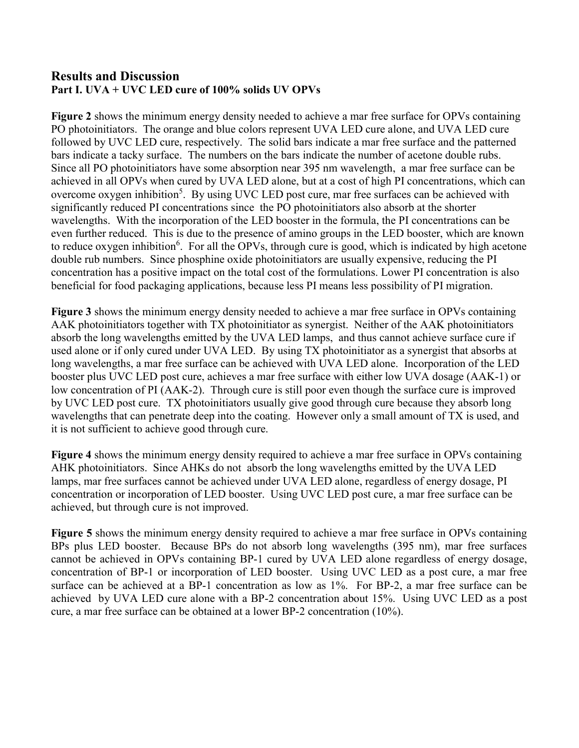## Results and Discussion Part I. UVA + UVC LED cure of 100% solids UV OPVs

Figure 2 shows the minimum energy density needed to achieve a mar free surface for OPVs containing PO photoinitiators. The orange and blue colors represent UVA LED cure alone, and UVA LED cure followed by UVC LED cure, respectively. The solid bars indicate a mar free surface and the patterned bars indicate a tacky surface. The numbers on the bars indicate the number of acetone double rubs. Since all PO photoinitiators have some absorption near 395 nm wavelength, a mar free surface can be achieved in all OPVs when cured by UVA LED alone, but at a cost of high PI concentrations, which can overcome oxygen inhibition<sup>5</sup>. By using UVC LED post cure, mar free surfaces can be achieved with significantly reduced PI concentrations since the PO photoinitiators also absorb at the shorter wavelengths. With the incorporation of the LED booster in the formula, the PI concentrations can be even further reduced. This is due to the presence of amino groups in the LED booster, which are known to reduce oxygen inhibition<sup>6</sup>. For all the OPVs, through cure is good, which is indicated by high acetone double rub numbers. Since phosphine oxide photoinitiators are usually expensive, reducing the PI concentration has a positive impact on the total cost of the formulations. Lower PI concentration is also beneficial for food packaging applications, because less PI means less possibility of PI migration.

Figure 3 shows the minimum energy density needed to achieve a mar free surface in OPVs containing AAK photoinitiators together with TX photoinitiator as synergist. Neither of the AAK photoinitiators absorb the long wavelengths emitted by the UVA LED lamps, and thus cannot achieve surface cure if used alone or if only cured under UVA LED. By using TX photoinitiator as a synergist that absorbs at long wavelengths, a mar free surface can be achieved with UVA LED alone. Incorporation of the LED booster plus UVC LED post cure, achieves a mar free surface with either low UVA dosage (AAK-1) or low concentration of PI (AAK-2). Through cure is still poor even though the surface cure is improved by UVC LED post cure. TX photoinitiators usually give good through cure because they absorb long wavelengths that can penetrate deep into the coating. However only a small amount of TX is used, and it is not sufficient to achieve good through cure.

Figure 4 shows the minimum energy density required to achieve a mar free surface in OPVs containing AHK photoinitiators. Since AHKs do not absorb the long wavelengths emitted by the UVA LED lamps, mar free surfaces cannot be achieved under UVA LED alone, regardless of energy dosage, PI concentration or incorporation of LED booster. Using UVC LED post cure, a mar free surface can be achieved, but through cure is not improved.

Figure 5 shows the minimum energy density required to achieve a mar free surface in OPVs containing BPs plus LED booster. Because BPs do not absorb long wavelengths (395 nm), mar free surfaces cannot be achieved in OPVs containing BP-1 cured by UVA LED alone regardless of energy dosage, concentration of BP-1 or incorporation of LED booster. Using UVC LED as a post cure, a mar free surface can be achieved at a BP-1 concentration as low as 1%. For BP-2, a mar free surface can be achieved by UVA LED cure alone with a BP-2 concentration about 15%. Using UVC LED as a post cure, a mar free surface can be obtained at a lower BP-2 concentration (10%).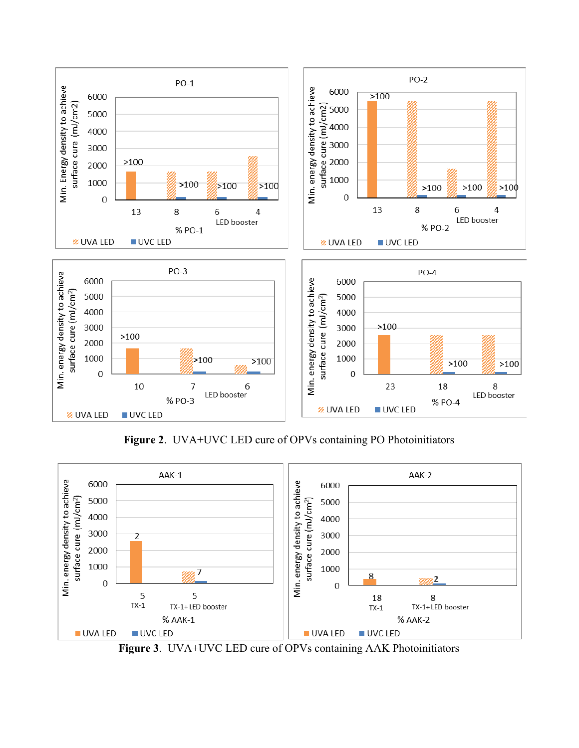

Figure 2. UVA+UVC LED cure of OPVs containing PO Photoinitiators



Figure 3. UVA+UVC LED cure of OPVs containing AAK Photoinitiators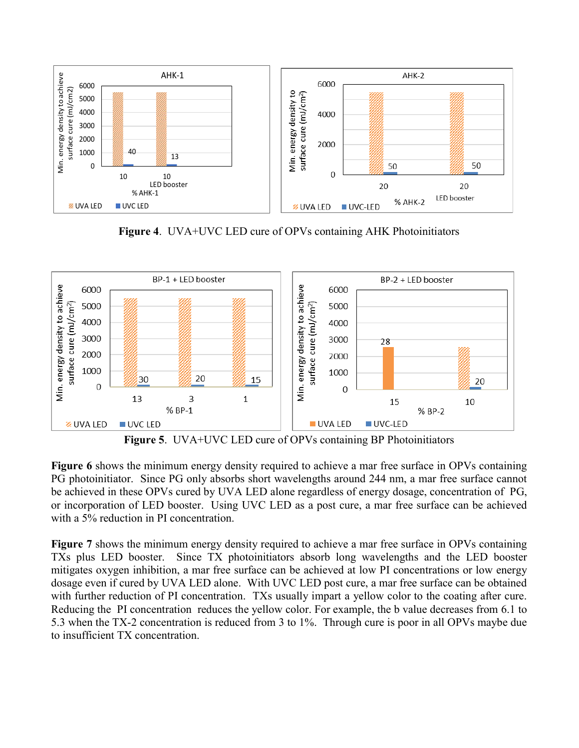

Figure 4. UVA+UVC LED cure of OPVs containing AHK Photoinitiators



Figure 5. UVA+UVC LED cure of OPVs containing BP Photoinitiators

Figure 6 shows the minimum energy density required to achieve a mar free surface in OPVs containing PG photoinitiator. Since PG only absorbs short wavelengths around 244 nm, a mar free surface cannot be achieved in these OPVs cured by UVA LED alone regardless of energy dosage, concentration of PG, or incorporation of LED booster. Using UVC LED as a post cure, a mar free surface can be achieved with a 5% reduction in PI concentration.

Figure 7 shows the minimum energy density required to achieve a mar free surface in OPVs containing TXs plus LED booster. Since TX photoinitiators absorb long wavelengths and the LED booster mitigates oxygen inhibition, a mar free surface can be achieved at low PI concentrations or low energy dosage even if cured by UVA LED alone. With UVC LED post cure, a mar free surface can be obtained with further reduction of PI concentration. TXs usually impart a yellow color to the coating after cure. Reducing the PI concentration reduces the yellow color. For example, the b value decreases from 6.1 to 5.3 when the TX-2 concentration is reduced from 3 to 1%. Through cure is poor in all OPVs maybe due to insufficient TX concentration.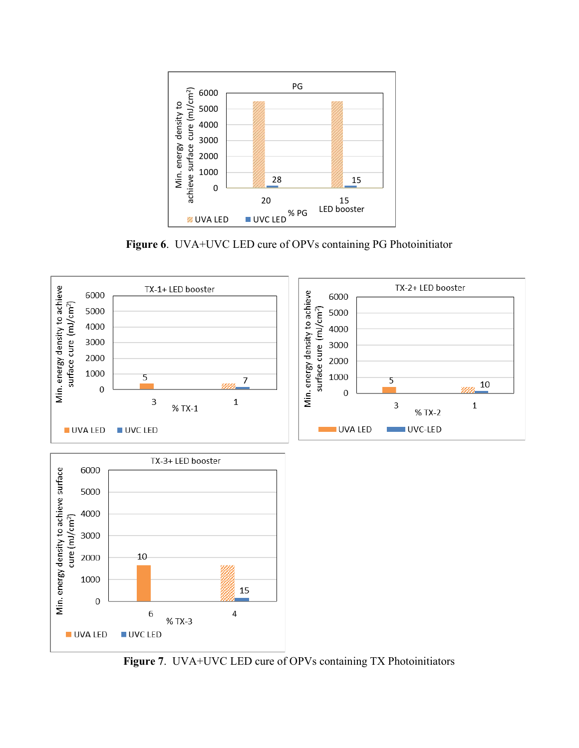

Figure 6. UVA+UVC LED cure of OPVs containing PG Photoinitiator



Figure 7. UVA+UVC LED cure of OPVs containing TX Photoinitiators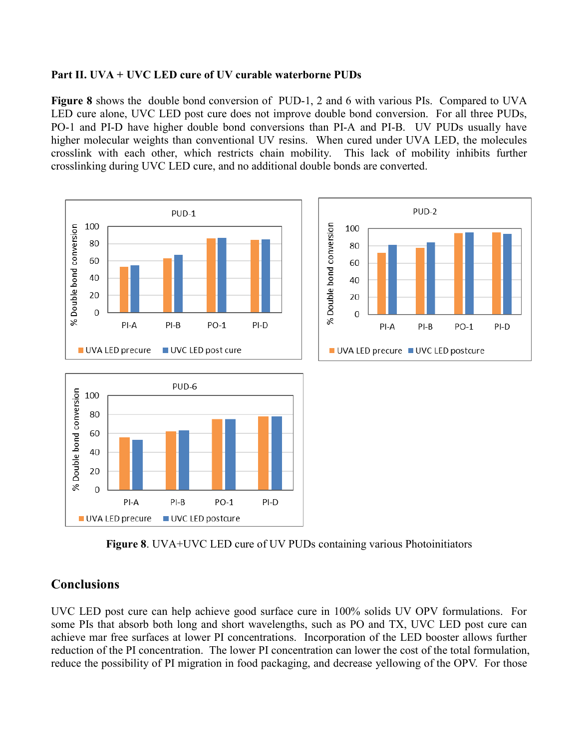#### Part II. UVA + UVC LED cure of UV curable waterborne PUDs

Figure 8 shows the double bond conversion of PUD-1, 2 and 6 with various PIs. Compared to UVA LED cure alone, UVC LED post cure does not improve double bond conversion. For all three PUDs, PO-1 and PI-D have higher double bond conversions than PI-A and PI-B. UV PUDs usually have higher molecular weights than conventional UV resins. When cured under UVA LED, the molecules crosslink with each other, which restricts chain mobility. This lack of mobility inhibits further crosslinking during UVC LED cure, and no additional double bonds are converted.



Figure 8. UVA+UVC LED cure of UV PUDs containing various Photoinitiators

## Conclusions

UVC LED post cure can help achieve good surface cure in 100% solids UV OPV formulations. For some PIs that absorb both long and short wavelengths, such as PO and TX, UVC LED post cure can achieve mar free surfaces at lower PI concentrations. Incorporation of the LED booster allows further reduction of the PI concentration. The lower PI concentration can lower the cost of the total formulation, reduce the possibility of PI migration in food packaging, and decrease yellowing of the OPV. For those